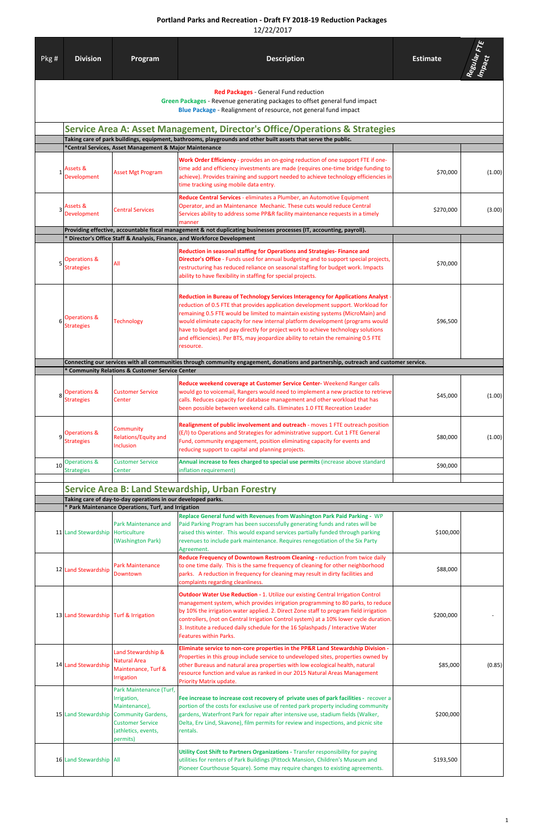## **Portland Parks and Recreation - Draft FY 2018-19 Reduction Packages**

12/22/2017

| Pkg # | <b>Division</b>                                                             | Program                                                                                                                                            | <b>Description</b>                                                                                                                                                                                                                                                                                                                                                                                                                                                                                                                | <b>Estimate</b> | Regular FTE<br>Impact |  |  |  |  |
|-------|-----------------------------------------------------------------------------|----------------------------------------------------------------------------------------------------------------------------------------------------|-----------------------------------------------------------------------------------------------------------------------------------------------------------------------------------------------------------------------------------------------------------------------------------------------------------------------------------------------------------------------------------------------------------------------------------------------------------------------------------------------------------------------------------|-----------------|-----------------------|--|--|--|--|
|       |                                                                             |                                                                                                                                                    | Red Packages - General Fund reduction<br>Green Packages - Revenue generating packages to offset general fund impact<br>Blue Package - Realignment of resource, not general fund impact                                                                                                                                                                                                                                                                                                                                            |                 |                       |  |  |  |  |
|       | Service Area A: Asset Management, Director's Office/Operations & Strategies |                                                                                                                                                    |                                                                                                                                                                                                                                                                                                                                                                                                                                                                                                                                   |                 |                       |  |  |  |  |
|       |                                                                             | *Central Services, Asset Management & Major Maintenance                                                                                            | Taking care of park buildings, equipment, bathrooms, playgrounds and other built assets that serve the public.                                                                                                                                                                                                                                                                                                                                                                                                                    |                 |                       |  |  |  |  |
|       | Assets &<br><b>Development</b>                                              | <b>Asset Mgt Program</b>                                                                                                                           | Work Order Efficiency - provides an on-going reduction of one support FTE if one-<br>time add and efficiency investments are made (requires one-time bridge funding to<br>achieve). Provides training and support needed to achieve technology efficiencies in<br>time tracking using mobile data entry.                                                                                                                                                                                                                          | \$70,000        | (1.00)                |  |  |  |  |
| 3     | Assets &<br><b>Development</b>                                              | <b>Central Services</b>                                                                                                                            | Reduce Central Services - eliminates a Plumber, an Automotive Equipment<br>Operator, and an Maintenance Mechanic. These cuts would reduce Central<br>Services ability to address some PP&R facility maintenance requests in a timely<br>manner                                                                                                                                                                                                                                                                                    | \$270,000       | (3.00)                |  |  |  |  |
|       |                                                                             |                                                                                                                                                    | Providing effective, accountable fiscal management & not duplicating businesses processes (IT, accounting, payroll).<br>* Director's Office Staff & Analysis, Finance, and Workforce Development                                                                                                                                                                                                                                                                                                                                  |                 |                       |  |  |  |  |
| 5     | Operations &<br><b>Strategies</b>                                           | All                                                                                                                                                | Reduction in seasonal staffing for Operations and Strategies-Finance and<br>Director's Office - Funds used for annual budgeting and to support special projects,<br>restructuring has reduced reliance on seasonal staffing for budget work. Impacts<br>ability to have flexibility in staffing for special projects.                                                                                                                                                                                                             | \$70,000        |                       |  |  |  |  |
|       | Operations &<br><b>Strategies</b>                                           | <b>Technology</b>                                                                                                                                  | Reduction in Bureau of Technology Services Interagency for Applications Analyst -<br>reduction of 0.5 FTE that provides application development support. Workload for<br>remaining 0.5 FTE would be limited to maintain existing systems (MicroMain) and<br>would eliminate capacity for new internal platform development (programs would<br>have to budget and pay directly for project work to achieve technology solutions<br>and efficiencies). Per BTS, may jeopardize ability to retain the remaining 0.5 FTE<br>resource. | \$96,500        |                       |  |  |  |  |
|       |                                                                             | * Community Relations & Customer Service Center                                                                                                    | Connecting our services with all communities through community engagement, donations and partnership, outreach and customer service.                                                                                                                                                                                                                                                                                                                                                                                              |                 |                       |  |  |  |  |
| 8     | Operations &<br><b>Strategies</b>                                           | <b>Customer Service</b><br>Center                                                                                                                  | Reduce weekend coverage at Customer Service Center-Weekend Ranger calls<br>would go to voicemail, Rangers would need to implement a new practice to retrieve<br>calls. Reduces capacity for database management and other workload that has<br>been possible between weekend calls. Eliminates 1.0 FTE Recreation Leader                                                                                                                                                                                                          | \$45,000        | (1.00)                |  |  |  |  |
| ٩     | Operations &<br><b>Strategies</b>                                           | Community<br>Relations/Equity and<br>Inclusion                                                                                                     | Realignment of public involvement and outreach - moves 1 FTE outreach position<br>(E/I) to Operations and Strategies for administrative support. Cut 1 FTE General<br>Fund, community engagement, position eliminating capacity for events and<br>reducing support to capital and planning projects.                                                                                                                                                                                                                              | \$80,000        | (1.00)                |  |  |  |  |
| 10    | <b>Operations &amp;</b><br><b>Strategies</b>                                | <b>Customer Service</b><br>Center                                                                                                                  | Annual increase to fees charged to special use permits (increase above standard<br>inflation requirement)                                                                                                                                                                                                                                                                                                                                                                                                                         | \$90,000        |                       |  |  |  |  |
|       |                                                                             |                                                                                                                                                    | <b>Service Area B: Land Stewardship, Urban Forestry</b>                                                                                                                                                                                                                                                                                                                                                                                                                                                                           |                 |                       |  |  |  |  |
|       |                                                                             | Taking care of day-to-day operations in our developed parks.                                                                                       |                                                                                                                                                                                                                                                                                                                                                                                                                                                                                                                                   |                 |                       |  |  |  |  |
|       |                                                                             | * Park Maintenance Operations, Turf, and Irrigation                                                                                                | Replace General fund with Revenues from Washington Park Paid Parking - WP                                                                                                                                                                                                                                                                                                                                                                                                                                                         |                 |                       |  |  |  |  |
|       | 11 Land Stewardship                                                         | Park Maintenance and<br>Horticulture<br>(Washington Park)                                                                                          | Paid Parking Program has been successfully generating funds and rates will be<br>raised this winter. This would expand services partially funded through parking<br>revenues to include park maintenance. Requires renegotiation of the Six Party<br>Agreement.                                                                                                                                                                                                                                                                   | \$100,000       |                       |  |  |  |  |
|       | 12 Land Stewardship                                                         | Park Maintenance<br>Downtown                                                                                                                       | Reduce Frequency of Downtown Restroom Cleaning - reduction from twice daily<br>to one time daily. This is the same frequency of cleaning for other neighborhood<br>parks. A reduction in frequency for cleaning may result in dirty facilities and<br>complaints regarding cleanliness.                                                                                                                                                                                                                                           | \$88,000        |                       |  |  |  |  |
|       | 13 Land Stewardship Turf & Irrigation                                       |                                                                                                                                                    | <b>Outdoor Water Use Reduction - 1. Utilize our existing Central Irrigation Control</b><br>management system, which provides irrigation programming to 80 parks, to reduce<br>by 10% the irrigation water applied. 2. Direct Zone staff to program field irrigation<br>controllers, (not on Central Irrigation Control system) at a 10% lower cycle duration.<br>3. Institute a reduced daily schedule for the 16 Splashpads / Interactive Water<br><b>Features within Parks.</b>                                                 | \$200,000       |                       |  |  |  |  |
|       | 14 Land Stewardship                                                         | and Stewardship &<br><b>Natural Area</b><br>Maintenance, Turf &<br>Irrigation                                                                      | Eliminate service to non-core properties in the PP&R Land Stewardship Division -<br>Properties in this group include service to undeveloped sites, properties owned by<br>other Bureaus and natural area properties with low ecological health, natural<br>resource function and value as ranked in our 2015 Natural Areas Management<br>Priority Matrix update.                                                                                                                                                                  | \$85,000        | (0.85)                |  |  |  |  |
|       | 15 Land Stewardship                                                         | Park Maintenance (Turf,<br>Irrigation,<br>Maintenance),<br><b>Community Gardens,</b><br><b>Customer Service</b><br>(athletics, events,<br>permits) | Fee increase to increase cost recovery of private uses of park facilities - recover a<br>portion of the costs for exclusive use of rented park property including community<br>gardens, Waterfront Park for repair after intensive use, stadium fields (Walker,<br>Delta, Erv Lind, Skavone), film permits for review and inspections, and picnic site<br>rentals.                                                                                                                                                                | \$200,000       |                       |  |  |  |  |
|       | 16 Land Stewardship All                                                     |                                                                                                                                                    | <b>Utility Cost Shift to Partners Organizations - Transfer responsibility for paying</b><br>utilities for renters of Park Buildings (Pittock Mansion, Children's Museum and<br>Pioneer Courthouse Square). Some may require changes to existing agreements.                                                                                                                                                                                                                                                                       | \$193,500       |                       |  |  |  |  |